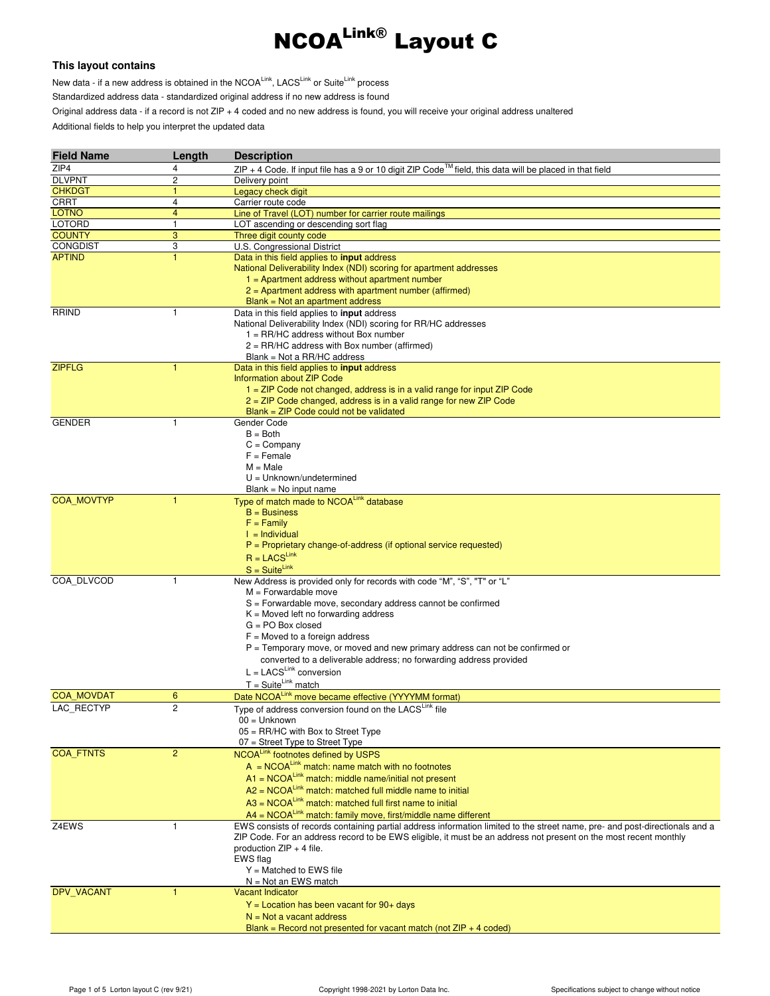

## **This layout contains**

New data - if a new address is obtained in the NCOALink, LACSLink or SuiteLink process Standardized address data - standardized original address if no new address is found Original address data - if a record is not ZIP + 4 coded and no new address is found, you will receive your original address unaltered Additional fields to help you interpret the updated data

| <b>Field Name</b> | Length                  | <b>Description</b>                                                                                                          |
|-------------------|-------------------------|-----------------------------------------------------------------------------------------------------------------------------|
| ZIP4              | 4                       | $ZIP + 4$ Code. If input file has a 9 or 10 digit ZIP Code <sup>™</sup> field, this data will be placed in that field       |
| <b>DLVPNT</b>     | $\overline{c}$          | Delivery point                                                                                                              |
| <b>CHKDGT</b>     | $\mathbf{1}$            | Legacy check digit                                                                                                          |
| CRRT              | 4                       | Carrier route code                                                                                                          |
| <b>LOTNO</b>      | $\overline{\mathbf{4}}$ | Line of Travel (LOT) number for carrier route mailings                                                                      |
| <b>LOTORD</b>     | 1                       | LOT ascending or descending sort flag                                                                                       |
| <b>COUNTY</b>     | 3                       | Three digit county code                                                                                                     |
| <b>CONGDIST</b>   | 3                       | U.S. Congressional District                                                                                                 |
| <b>APTIND</b>     | $\mathbf{1}$            | Data in this field applies to <b>input</b> address                                                                          |
|                   |                         | National Deliverability Index (NDI) scoring for apartment addresses                                                         |
|                   |                         | $1 =$ Apartment address without apartment number                                                                            |
|                   |                         | $2$ = Apartment address with apartment number (affirmed)                                                                    |
|                   |                         | $Blank = Not$ an apartment address                                                                                          |
| <b>RRIND</b>      | 1                       | Data in this field applies to <b>input</b> address                                                                          |
|                   |                         | National Deliverability Index (NDI) scoring for RR/HC addresses                                                             |
|                   |                         | $1 = RR/HC$ address without Box number                                                                                      |
|                   |                         | $2 = RR/HC$ address with Box number (affirmed)                                                                              |
|                   |                         | Blank = Not a RR/HC address                                                                                                 |
| <b>ZIPFLG</b>     | 1                       | Data in this field applies to <b>input</b> address                                                                          |
|                   |                         | Information about ZIP Code                                                                                                  |
|                   |                         | 1 = ZIP Code not changed, address is in a valid range for input ZIP Code                                                    |
|                   |                         | 2 = ZIP Code changed, address is in a valid range for new ZIP Code                                                          |
|                   |                         | $Blank = ZIP Code could not be validated$                                                                                   |
| <b>GENDER</b>     | $\mathbf{1}$            | Gender Code                                                                                                                 |
|                   |                         | $B = Both$                                                                                                                  |
|                   |                         | $C = Company$                                                                                                               |
|                   |                         | $F =$ Female                                                                                                                |
|                   |                         | $M = Male$<br>$U =$ Unknown/undetermined                                                                                    |
|                   |                         |                                                                                                                             |
| <b>COA MOVTYP</b> | 1                       | $Blank = No$ input name<br>Type of match made to NCOALink database                                                          |
|                   |                         | $B = Business$                                                                                                              |
|                   |                         | $F = Family$                                                                                                                |
|                   |                         | $I =$ Individual                                                                                                            |
|                   |                         | $P =$ Proprietary change-of-address (if optional service requested)                                                         |
|                   |                         | $R = LACS^{Link}$                                                                                                           |
|                   |                         | $S = Suite^{Link}$                                                                                                          |
| COA DLVCOD        | $\mathbf{1}$            | New Address is provided only for records with code "M", "S", "T" or "L"                                                     |
|                   |                         | $M =$ Forwardable move                                                                                                      |
|                   |                         | S = Forwardable move, secondary address cannot be confirmed                                                                 |
|                   |                         | $K =$ Moved left no forwarding address                                                                                      |
|                   |                         | $G = PO$ Box closed                                                                                                         |
|                   |                         | $F =$ Moved to a foreign address                                                                                            |
|                   |                         | $P =$ Temporary move, or moved and new primary address can not be confirmed or                                              |
|                   |                         | converted to a deliverable address; no forwarding address provided                                                          |
|                   |                         | $L = LACS^{Link}$ conversion                                                                                                |
|                   |                         | $T = Suite^{Link}$ match                                                                                                    |
| <b>COA MOVDAT</b> | 6                       | Date NCOALink move became effective (YYYYMM format)                                                                         |
| LAC_RECTYP        | $\overline{c}$          |                                                                                                                             |
|                   |                         | Type of address conversion found on the LACSLink file<br>00 = Unknown                                                       |
|                   |                         | $05 = RR/HC$ with Box to Street Type                                                                                        |
|                   |                         | $07$ = Street Type to Street Type                                                                                           |
| COA_FTNTS         | $\overline{2}$          | NCOALink footnotes defined by USPS                                                                                          |
|                   |                         | $A = NCOA^{Link}$ match: name match with no footnotes                                                                       |
|                   |                         | $A1 = NCOA^{Link}$ match: middle name/initial not present                                                                   |
|                   |                         |                                                                                                                             |
|                   |                         | $A2 = NCOA^{Link}$ match: matched full middle name to initial                                                               |
|                   |                         | $A3 = NCOALink$ match: matched full first name to initial                                                                   |
|                   |                         | A4 = NCOALink match: family move, first/middle name different                                                               |
| Z4EWS             | $\mathbf{1}$            | EWS consists of records containing partial address information limited to the street name, pre- and post-directionals and a |
|                   |                         | ZIP Code. For an address record to be EWS eligible, it must be an address not present on the most recent monthly            |
|                   |                         | production $ZIP + 4$ file.                                                                                                  |
|                   |                         | EWS flag                                                                                                                    |
|                   |                         | $Y =$ Matched to EWS file                                                                                                   |
|                   |                         | $N = Not$ an EWS match                                                                                                      |
| DPV_VACANT        |                         | <b>Vacant Indicator</b>                                                                                                     |
|                   |                         | $Y =$ Location has been vacant for 90+ days                                                                                 |
|                   |                         | $N = Not$ a vacant address                                                                                                  |
|                   |                         | Blank = Record not presented for vacant match (not $ZIP + 4$ coded)                                                         |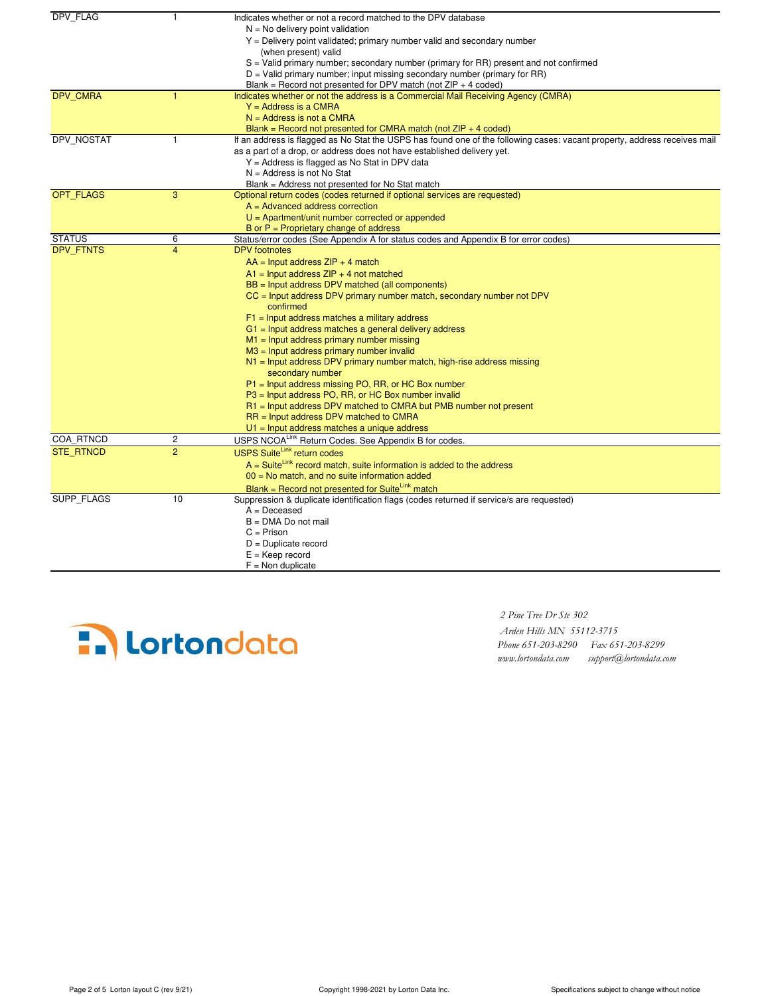| DPV_FLAG         | $\mathbf{1}$            | Indicates whether or not a record matched to the DPV database                                                             |
|------------------|-------------------------|---------------------------------------------------------------------------------------------------------------------------|
|                  |                         | $N = No$ delivery point validation                                                                                        |
|                  |                         | $Y =$ Delivery point validated; primary number valid and secondary number                                                 |
|                  |                         | (when present) valid                                                                                                      |
|                  |                         | $S =$ Valid primary number; secondary number (primary for RR) present and not confirmed                                   |
|                  |                         | $D =$ Valid primary number; input missing secondary number (primary for RR)                                               |
|                  |                         | Blank = Record not presented for DPV match (not $ZIP + 4$ coded)                                                          |
| DPV_CMRA         | 1                       | Indicates whether or not the address is a Commercial Mail Receiving Agency (CMRA)                                         |
|                  |                         | $Y = Address$ is a CMRA                                                                                                   |
|                  |                         | $N =$ Address is not a CMRA                                                                                               |
|                  |                         | Blank = Record not presented for CMRA match (not $ZIP + 4$ coded)                                                         |
| DPV NOSTAT       | 1                       | If an address is flagged as No Stat the USPS has found one of the following cases: vacant property, address receives mail |
|                  |                         | as a part of a drop, or address does not have established delivery yet.                                                   |
|                  |                         | Y = Address is flagged as No Stat in DPV data                                                                             |
|                  |                         | $N =$ Address is not No Stat                                                                                              |
|                  |                         | Blank = Address not presented for No Stat match                                                                           |
| <b>OPT FLAGS</b> | 3                       | Optional return codes (codes returned if optional services are requested)                                                 |
|                  |                         | $A = Advanced address correction$                                                                                         |
|                  |                         | $U =$ Apartment/unit number corrected or appended                                                                         |
|                  |                         | B or $P =$ Proprietary change of address                                                                                  |
| <b>STATUS</b>    | 6                       | Status/error codes (See Appendix A for status codes and Appendix B for error codes)                                       |
| <b>DPV FTNTS</b> | $\overline{4}$          | <b>DPV</b> footnotes                                                                                                      |
|                  |                         | $AA =$ Input address $ZIP + 4$ match                                                                                      |
|                  |                         | $A1$ = Input address ZIP + 4 not matched                                                                                  |
|                  |                         | BB = Input address DPV matched (all components)                                                                           |
|                  |                         | CC = Input address DPV primary number match, secondary number not DPV<br>confirmed                                        |
|                  |                         | $F1$ = Input address matches a military address                                                                           |
|                  |                         | $G1$ = Input address matches a general delivery address                                                                   |
|                  |                         | $M1$ = Input address primary number missing                                                                               |
|                  |                         | $M3$ = Input address primary number invalid                                                                               |
|                  |                         | $N1$ = Input address DPV primary number match, high-rise address missing                                                  |
|                  |                         | secondary number                                                                                                          |
|                  |                         | $P1$ = Input address missing PO, RR, or HC Box number                                                                     |
|                  |                         | P3 = Input address PO, RR, or HC Box number invalid                                                                       |
|                  |                         | R1 = Input address DPV matched to CMRA but PMB number not present                                                         |
|                  |                         | $RR =$ Input address DPV matched to CMRA                                                                                  |
|                  |                         | $U1$ = Input address matches a unique address                                                                             |
| COA RTNCD        | $\overline{\mathbf{c}}$ | USPS NCOALink Return Codes. See Appendix B for codes.                                                                     |
| <b>STE RTNCD</b> | $\overline{2}$          | <b>USPS SuiteLink return codes</b>                                                                                        |
|                  |                         | $A = Suite^{Link}$ record match, suite information is added to the address                                                |
|                  |                         | $00 =$ No match, and no suite information added                                                                           |
|                  |                         | Blank = Record not presented for SuiteLink match                                                                          |
| SUPP FLAGS       | 10                      | Suppression & duplicate identification flags (codes returned if service/s are requested)                                  |
|                  |                         | $A = Deceased$                                                                                                            |
|                  |                         | $B = DMA Do$ not mail                                                                                                     |
|                  |                         | $C = Prison$                                                                                                              |
|                  |                         | $D =$ Duplicate record                                                                                                    |
|                  |                         | $E = Keep record$                                                                                                         |
|                  |                         | $F =$ Non duplicate                                                                                                       |



 *Arden Hills MN 55112-3715 Phone 651-203-8290 Fax 651-203-8299 www.lortondata.com support@lortondata.com*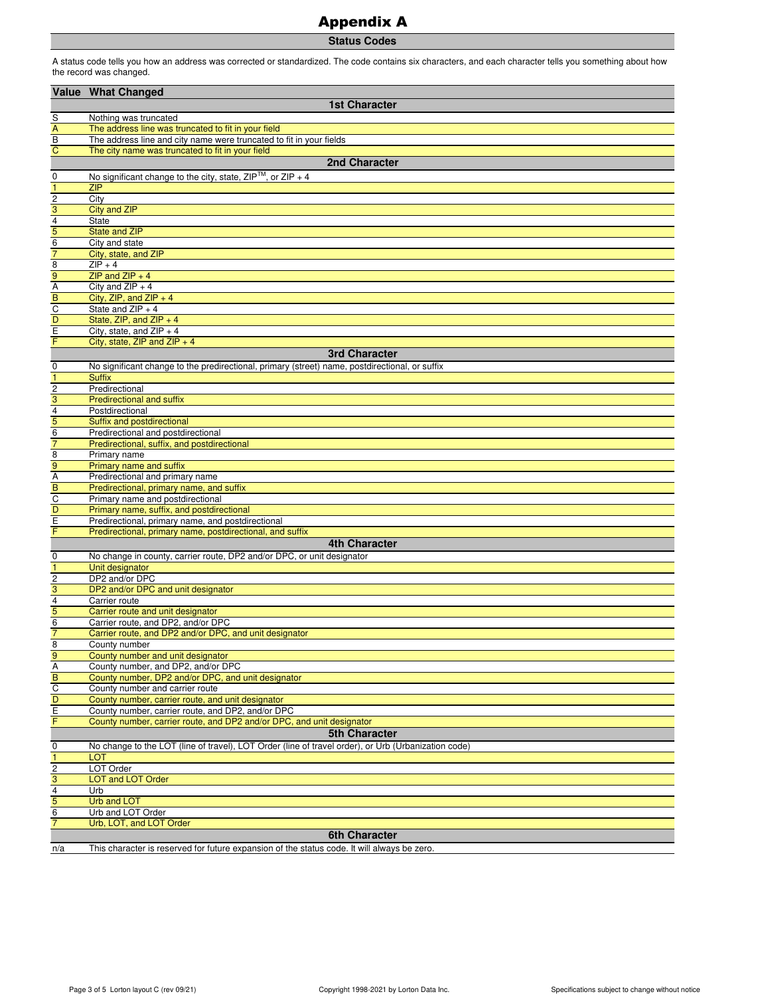## Appendix A

**Status Codes**

A status code tells you how an address was corrected or standardized. The code contains six characters, and each character tells you something about how the record was changed.

|                                  | Value What Changed                                                                                     |
|----------------------------------|--------------------------------------------------------------------------------------------------------|
|                                  | <b>1st Character</b>                                                                                   |
| S                                | Nothing was truncated                                                                                  |
| $\overline{A}$                   | The address line was truncated to fit in your field                                                    |
| $\overline{B}$                   | The address line and city name were truncated to fit in your fields                                    |
| $\overline{C}$                   | The city name was truncated to fit in your field                                                       |
|                                  | 2nd Character                                                                                          |
| $\mathbf 0$                      | No significant change to the city, state, $ZIP^{TM}$ , or $ZIP + 4$                                    |
| $\overline{1}$                   | <b>ZIP</b>                                                                                             |
| $\overline{c}$                   | City                                                                                                   |
| $\overline{3}$                   | <b>City and ZIP</b>                                                                                    |
| $\frac{4}{5}$                    | <b>State</b>                                                                                           |
| $\overline{6}$                   | <b>State and ZIP</b><br>City and state                                                                 |
| $\overline{7}$                   | City, state, and ZIP                                                                                   |
| $\overline{8}$                   | $ZIP + 4$                                                                                              |
| 9                                | ZIP and $ZIP + 4$                                                                                      |
| $\overline{A}$                   | City and $ZIP + 4$                                                                                     |
| B                                | City, ZIP, and ZIP $+4$                                                                                |
| $\frac{C}{D}$                    | State and $ZIP + 4$                                                                                    |
|                                  | State, ZIP, and ZIP $+4$                                                                               |
| $\overline{E}$<br>F              | City, state, and $ZIP + 4$                                                                             |
|                                  | City, state, $ZIP$ and $ZIP + 4$<br><b>3rd Character</b>                                               |
|                                  | No significant change to the predirectional, primary (street) name, postdirectional, or suffix         |
| 0<br>$\overline{1}$              | <b>Suffix</b>                                                                                          |
|                                  | Predirectional                                                                                         |
| $\frac{1}{3}$                    | <b>Predirectional and suffix</b>                                                                       |
|                                  | Postdirectional                                                                                        |
| $\frac{4}{5}$                    | Suffix and postdirectional                                                                             |
|                                  | Predirectional and postdirectional                                                                     |
| $\overline{7}$                   | Predirectional, suffix, and postdirectional                                                            |
| $\overline{8}$                   | Primary name                                                                                           |
| 9                                | Primary name and suffix<br>Predirectional and primary name                                             |
| $\frac{A}{B}$                    | Predirectional, primary name, and suffix                                                               |
|                                  | Primary name and postdirectional                                                                       |
| D                                | Primary name, suffix, and postdirectional                                                              |
| $\overline{E}$                   | Predirectional, primary name, and postdirectional                                                      |
| F                                | Predirectional, primary name, postdirectional, and suffix                                              |
|                                  | <b>4th Character</b>                                                                                   |
| 0                                | No change in county, carrier route, DP2 and/or DPC, or unit designator                                 |
| $\overline{1}$                   | Unit designator                                                                                        |
| $\overline{\mathbf{c}}$          | DP2 and/or DPC                                                                                         |
| 3<br>4                           | DP2 and/or DPC and unit designator<br>Carrier route                                                    |
| 5                                | Carrier route and unit designator                                                                      |
| $\overline{6}$                   | Carrier route, and DP2, and/or DPC                                                                     |
| $\overline{7}$                   | Carrier route, and DP2 and/or DPC, and unit designator                                                 |
| $\overline{8}$                   | County number                                                                                          |
| 9                                | County number and unit designator                                                                      |
| A                                | County number, and DP2, and/or DPC                                                                     |
| $\overline{B}$                   | County number, DP2 and/or DPC, and unit designator                                                     |
| $\overline{c}$<br>$\overline{D}$ | County number and carrier route                                                                        |
|                                  | County number, carrier route, and unit designator<br>County number, carrier route, and DP2, and/or DPC |
| $\frac{E}{F}$                    | County number, carrier route, and DP2 and/or DPC, and unit designator                                  |
|                                  | <b>5th Character</b>                                                                                   |
| 0                                | No change to the LOT (line of travel), LOT Order (line of travel order), or Urb (Urbanization code)    |
| $\mathbf{1}$                     | <b>LOT</b>                                                                                             |
| $\overline{c}$                   | LOT Order                                                                                              |
| $\overline{3}$                   | <b>LOT and LOT Order</b>                                                                               |
| $\overline{\mathbf{4}}$          | Urb                                                                                                    |
| 5                                | <b>Urb and LOT</b>                                                                                     |
| $\,6$<br>$\overline{7}$          | Urb and LOT Order                                                                                      |
|                                  | Urb, LOT, and LOT Order<br><b>6th Character</b>                                                        |
|                                  |                                                                                                        |
| n/a                              | This character is reserved for future expansion of the status code. It will always be zero.            |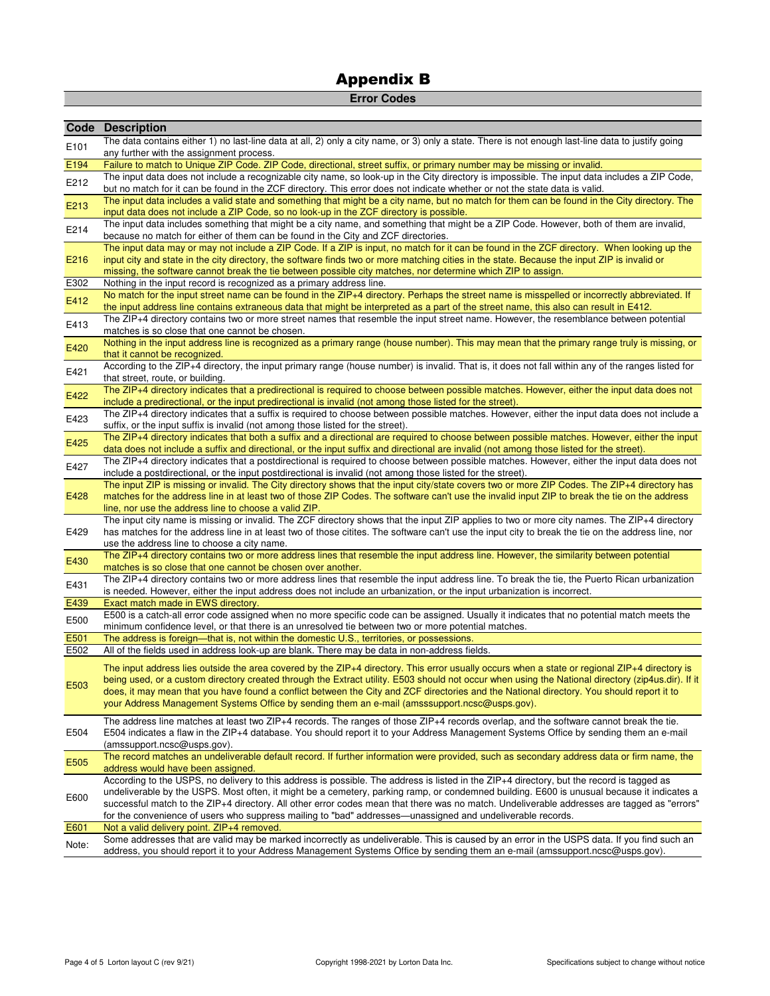## **Error Codes**

|       | <b>Code Description</b>                                                                                                                                                                                                                                                                                                                                                                                     |
|-------|-------------------------------------------------------------------------------------------------------------------------------------------------------------------------------------------------------------------------------------------------------------------------------------------------------------------------------------------------------------------------------------------------------------|
| E101  | The data contains either 1) no last-line data at all, 2) only a city name, or 3) only a state. There is not enough last-line data to justify going<br>any further with the assignment process.                                                                                                                                                                                                              |
| E194  | Failure to match to Unique ZIP Code. ZIP Code, directional, street suffix, or primary number may be missing or invalid.                                                                                                                                                                                                                                                                                     |
|       | The input data does not include a recognizable city name, so look-up in the City directory is impossible. The input data includes a ZIP Code,                                                                                                                                                                                                                                                               |
| E212  | but no match for it can be found in the ZCF directory. This error does not indicate whether or not the state data is valid.                                                                                                                                                                                                                                                                                 |
| E213  | The input data includes a valid state and something that might be a city name, but no match for them can be found in the City directory. The<br>input data does not include a ZIP Code, so no look-up in the ZCF directory is possible.                                                                                                                                                                     |
| E214  | The input data includes something that might be a city name, and something that might be a ZIP Code. However, both of them are invalid,                                                                                                                                                                                                                                                                     |
|       | because no match for either of them can be found in the City and ZCF directories.                                                                                                                                                                                                                                                                                                                           |
| E216  | The input data may or may not include a ZIP Code. If a ZIP is input, no match for it can be found in the ZCF directory. When looking up the<br>input city and state in the city directory, the software finds two or more matching cities in the state. Because the input ZIP is invalid or<br>missing, the software cannot break the tie between possible city matches, nor determine which ZIP to assign. |
| E302  | Nothing in the input record is recognized as a primary address line.                                                                                                                                                                                                                                                                                                                                        |
|       | No match for the input street name can be found in the ZIP+4 directory. Perhaps the street name is misspelled or incorrectly abbreviated. If                                                                                                                                                                                                                                                                |
| E412  | the input address line contains extraneous data that might be interpreted as a part of the street name, this also can result in E412.                                                                                                                                                                                                                                                                       |
|       | The ZIP+4 directory contains two or more street names that resemble the input street name. However, the resemblance between potential                                                                                                                                                                                                                                                                       |
| E413  | matches is so close that one cannot be chosen.                                                                                                                                                                                                                                                                                                                                                              |
| E420  | Nothing in the input address line is recognized as a primary range (house number). This may mean that the primary range truly is missing, or                                                                                                                                                                                                                                                                |
|       | that it cannot be recognized.                                                                                                                                                                                                                                                                                                                                                                               |
| E421  | According to the ZIP+4 directory, the input primary range (house number) is invalid. That is, it does not fall within any of the ranges listed for                                                                                                                                                                                                                                                          |
|       | that street, route, or building.                                                                                                                                                                                                                                                                                                                                                                            |
| E422  | The ZIP+4 directory indicates that a predirectional is required to choose between possible matches. However, either the input data does not                                                                                                                                                                                                                                                                 |
|       | include a predirectional, or the input predirectional is invalid (not among those listed for the street).                                                                                                                                                                                                                                                                                                   |
| E423  | The ZIP+4 directory indicates that a suffix is required to choose between possible matches. However, either the input data does not include a                                                                                                                                                                                                                                                               |
|       | suffix, or the input suffix is invalid (not among those listed for the street).<br>The ZIP+4 directory indicates that both a suffix and a directional are required to choose between possible matches. However, either the input                                                                                                                                                                            |
| E425  | data does not include a suffix and directional, or the input suffix and directional are invalid (not among those listed for the street).                                                                                                                                                                                                                                                                    |
|       | The ZIP+4 directory indicates that a postdirectional is required to choose between possible matches. However, either the input data does not                                                                                                                                                                                                                                                                |
| E427  | include a postdirectional, or the input postdirectional is invalid (not among those listed for the street).                                                                                                                                                                                                                                                                                                 |
|       | The input ZIP is missing or invalid. The City directory shows that the input city/state covers two or more ZIP Codes. The ZIP+4 directory has                                                                                                                                                                                                                                                               |
| E428  | matches for the address line in at least two of those ZIP Codes. The software can't use the invalid input ZIP to break the tie on the address                                                                                                                                                                                                                                                               |
|       | line, nor use the address line to choose a valid ZIP.                                                                                                                                                                                                                                                                                                                                                       |
|       | The input city name is missing or invalid. The ZCF directory shows that the input ZIP applies to two or more city names. The ZIP+4 directory                                                                                                                                                                                                                                                                |
| E429  | has matches for the address line in at least two of those citites. The software can't use the input city to break the tie on the address line, nor                                                                                                                                                                                                                                                          |
|       | use the address line to choose a city name.                                                                                                                                                                                                                                                                                                                                                                 |
| E430  | The ZIP+4 directory contains two or more address lines that resemble the input address line. However, the similarity between potential                                                                                                                                                                                                                                                                      |
|       | matches is so close that one cannot be chosen over another.                                                                                                                                                                                                                                                                                                                                                 |
| E431  | The ZIP+4 directory contains two or more address lines that resemble the input address line. To break the tie, the Puerto Rican urbanization                                                                                                                                                                                                                                                                |
|       | is needed. However, either the input address does not include an urbanization, or the input urbanization is incorrect.                                                                                                                                                                                                                                                                                      |
| E439  | Exact match made in EWS directory.                                                                                                                                                                                                                                                                                                                                                                          |
| E500  | E500 is a catch-all error code assigned when no more specific code can be assigned. Usually it indicates that no potential match meets the                                                                                                                                                                                                                                                                  |
| E501  | minimum confidence level, or that there is an unresolved tie between two or more potential matches.<br>The address is foreign—that is, not within the domestic U.S., territories, or possessions.                                                                                                                                                                                                           |
| E502  | All of the fields used in address look-up are blank. There may be data in non-address fields.                                                                                                                                                                                                                                                                                                               |
|       |                                                                                                                                                                                                                                                                                                                                                                                                             |
|       | The input address lies outside the area covered by the ZIP+4 directory. This error usually occurs when a state or regional ZIP+4 directory is                                                                                                                                                                                                                                                               |
| E503  | being used, or a custom directory created through the Extract utility. E503 should not occur when using the National directory (zip4us.dir). If it                                                                                                                                                                                                                                                          |
|       | does, it may mean that you have found a conflict between the City and ZCF directories and the National directory. You should report it to                                                                                                                                                                                                                                                                   |
|       | your Address Management Systems Office by sending them an e-mail (amsssupport.ncsc@usps.gov).                                                                                                                                                                                                                                                                                                               |
|       | The address line matches at least two ZIP+4 records. The ranges of those ZIP+4 records overlap, and the software cannot break the tie.                                                                                                                                                                                                                                                                      |
| E504  | E504 indicates a flaw in the ZIP+4 database. You should report it to your Address Management Systems Office by sending them an e-mail                                                                                                                                                                                                                                                                       |
|       | (amssupport.ncsc@usps.gov).                                                                                                                                                                                                                                                                                                                                                                                 |
| E505  | The record matches an undeliverable default record. If further information were provided, such as secondary address data or firm name, the                                                                                                                                                                                                                                                                  |
|       | address would have been assigned.                                                                                                                                                                                                                                                                                                                                                                           |
|       | According to the USPS, no delivery to this address is possible. The address is listed in the ZIP+4 directory, but the record is tagged as                                                                                                                                                                                                                                                                   |
| E600  | undeliverable by the USPS. Most often, it might be a cemetery, parking ramp, or condemned building. E600 is unusual because it indicates a                                                                                                                                                                                                                                                                  |
|       | successful match to the ZIP+4 directory. All other error codes mean that there was no match. Undeliverable addresses are tagged as "errors"                                                                                                                                                                                                                                                                 |
|       | for the convenience of users who suppress mailing to "bad" addresses—unassigned and undeliverable records.                                                                                                                                                                                                                                                                                                  |
| E601  | Not a valid delivery point. ZIP+4 removed.                                                                                                                                                                                                                                                                                                                                                                  |
| Note: | Some addresses that are valid may be marked incorrectly as undeliverable. This is caused by an error in the USPS data. If you find such an                                                                                                                                                                                                                                                                  |
|       | address, you should report it to your Address Management Systems Office by sending them an e-mail (amssupport.ncsc@usps.gov).                                                                                                                                                                                                                                                                               |